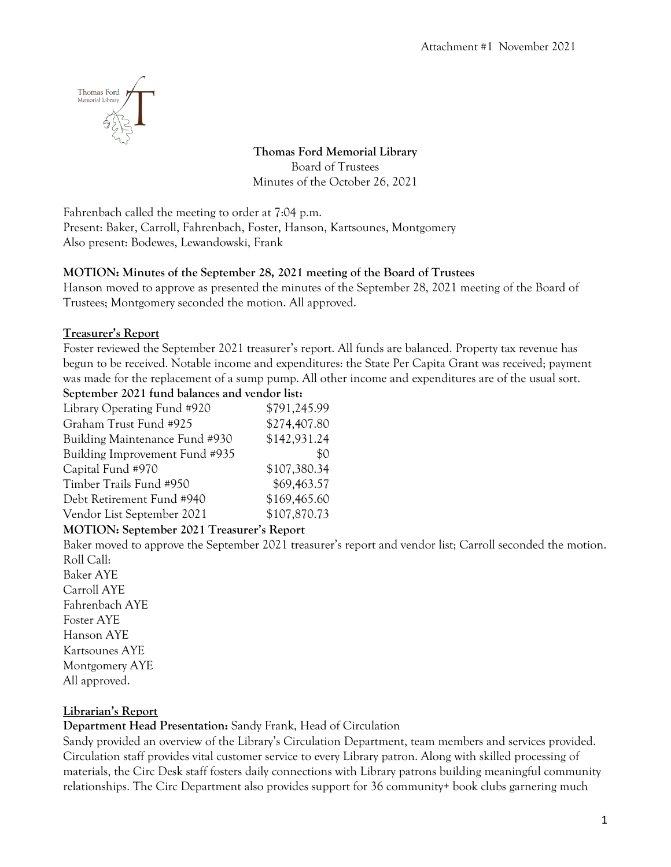

**Thomas Ford Memorial Library** Board of Trustees Minutes of the October 26, 2021

Fahrenbach called the meeting to order at 7:04 p.m. Present: Baker, Carroll, Fahrenbach, Foster, Hanson, Kartsounes, Montgomery Also present: Bodewes, Lewandowski, Frank

# **MOTION: Minutes of the September 28, 2021 meeting of the Board of Trustees**

Hanson moved to approve as presented the minutes of the September 28, 2021 meeting of the Board of Trustees; Montgomery seconded the motion. All approved.

## **Treasurer's Report**

Foster reviewed the September 2021 treasurer's report. All funds are balanced. Property tax revenue has begun to be received. Notable income and expenditures: the State Per Capita Grant was received; payment was made for the replacement of a sump pump. All other income and expenditures are of the usual sort. **September 2021 fund balances and vendor list:**

| ocpicinoel 2021 runu baances and venuor noi |              |
|---------------------------------------------|--------------|
| Library Operating Fund #920                 | \$791,245.99 |
| Graham Trust Fund #925                      | \$274,407.80 |
| Building Maintenance Fund #930              | \$142,931.24 |
| Building Improvement Fund #935              | \$0          |
| Capital Fund #970                           | \$107,380.34 |
| Timber Trails Fund #950                     | \$69,463.57  |
| Debt Retirement Fund #940                   | \$169,465.60 |
| Vendor List September 2021                  | \$107,870.73 |

# **MOTION: September 2021 Treasurer's Report**

Baker moved to approve the September 2021 treasurer's report and vendor list; Carroll seconded the motion. Roll Call:

Baker AYE Carroll AYE Fahrenbach AYE Foster AYE Hanson AYE Kartsounes AYE Montgomery AYE All approved.

# **Librarian's Report**

**Department Head Presentation:** Sandy Frank, Head of Circulation

Sandy provided an overview of the Library's Circulation Department, team members and services provided. Circulation staff provides vital customer service to every Library patron. Along with skilled processing of materials, the Circ Desk staff fosters daily connections with Library patrons building meaningful community relationships. The Circ Department also provides support for 36 community+ book clubs garnering much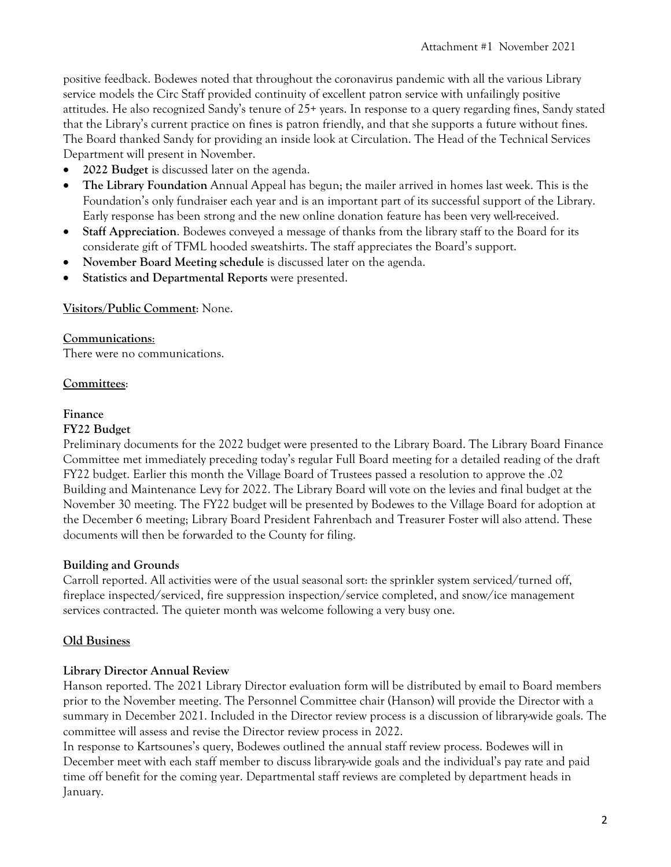positive feedback. Bodewes noted that throughout the coronavirus pandemic with all the various Library service models the Circ Staff provided continuity of excellent patron service with unfailingly positive attitudes. He also recognized Sandy's tenure of 25+ years. In response to a query regarding fines, Sandy stated that the Library's current practice on fines is patron friendly, and that she supports a future without fines. The Board thanked Sandy for providing an inside look at Circulation. The Head of the Technical Services Department will present in November.

- **2022 Budget** is discussed later on the agenda.
- **The Library Foundation** Annual Appeal has begun; the mailer arrived in homes last week. This is the Foundation's only fundraiser each year and is an important part of its successful support of the Library. Early response has been strong and the new online donation feature has been very well-received.
- **Staff Appreciation**. Bodewes conveyed a message of thanks from the library staff to the Board for its considerate gift of TFML hooded sweatshirts. The staff appreciates the Board's support.
- **November Board Meeting schedule** is discussed later on the agenda.
- **Statistics and Departmental Reports** were presented.

#### **Visitors/Public Comment**: None.

#### **Communications**:

There were no communications.

### **Committees**:

#### **Finance**

#### **FY22 Budget**

Preliminary documents for the 2022 budget were presented to the Library Board. The Library Board Finance Committee met immediately preceding today's regular Full Board meeting for a detailed reading of the draft FY22 budget. Earlier this month the Village Board of Trustees passed a resolution to approve the .02 Building and Maintenance Levy for 2022. The Library Board will vote on the levies and final budget at the November 30 meeting. The FY22 budget will be presented by Bodewes to the Village Board for adoption at the December 6 meeting; Library Board President Fahrenbach and Treasurer Foster will also attend. These documents will then be forwarded to the County for filing.

#### **Building and Grounds**

Carroll reported. All activities were of the usual seasonal sort: the sprinkler system serviced/turned off, fireplace inspected/serviced, fire suppression inspection/service completed, and snow/ice management services contracted. The quieter month was welcome following a very busy one.

### **Old Business**

#### **Library Director Annual Review**

Hanson reported. The 2021 Library Director evaluation form will be distributed by email to Board members prior to the November meeting. The Personnel Committee chair (Hanson) will provide the Director with a summary in December 2021. Included in the Director review process is a discussion of library-wide goals. The committee will assess and revise the Director review process in 2022.

In response to Kartsounes's query, Bodewes outlined the annual staff review process. Bodewes will in December meet with each staff member to discuss library-wide goals and the individual's pay rate and paid time off benefit for the coming year. Departmental staff reviews are completed by department heads in January.